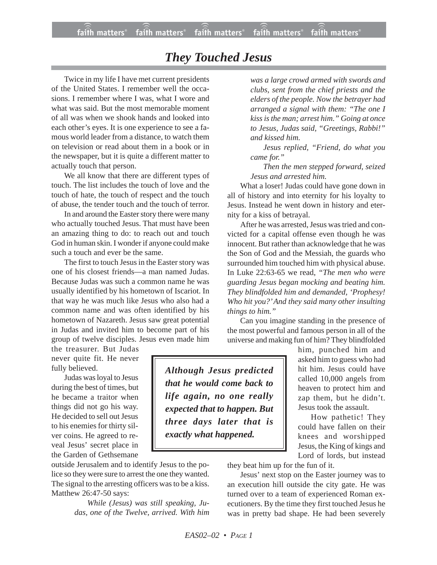## *They Touched Jesus*

Twice in my life I have met current presidents of the United States. I remember well the occasions. I remember where I was, what I wore and what was said. But the most memorable moment of all was when we shook hands and looked into each other's eyes. It is one experience to see a famous world leader from a distance, to watch them on television or read about them in a book or in the newspaper, but it is quite a different matter to actually touch that person.

We all know that there are different types of touch. The list includes the touch of love and the touch of hate, the touch of respect and the touch of abuse, the tender touch and the touch of terror.

In and around the Easter story there were many who actually touched Jesus. That must have been an amazing thing to do: to reach out and touch God in human skin. I wonder if anyone could make such a touch and ever be the same.

The first to touch Jesus in the Easter story was one of his closest friends—a man named Judas. Because Judas was such a common name he was usually identified by his hometown of Iscariot. In that way he was much like Jesus who also had a common name and was often identified by his hometown of Nazareth. Jesus saw great potential in Judas and invited him to become part of his group of twelve disciples. Jesus even made him

the treasurer. But Judas never quite fit. He never fully believed.

Judas was loyal to Jesus during the best of times, but he became a traitor when things did not go his way. He decided to sell out Jesus to his enemies for thirty silver coins. He agreed to reveal Jesus' secret place in the Garden of Gethsemane

outside Jerusalem and to identify Jesus to the police so they were sure to arrest the one they wanted. The signal to the arresting officers was to be a kiss. Matthew 26:47-50 says:

> *While (Jesus) was still speaking, Judas, one of the Twelve, arrived. With him*

*was a large crowd armed with swords and clubs, sent from the chief priests and the elders of the people. Now the betrayer had arranged a signal with them: "The one I kiss is the man; arrest him." Going at once to Jesus, Judas said, "Greetings, Rabbi!" and kissed him.*

*Jesus replied, "Friend, do what you came for."*

*Then the men stepped forward, seized Jesus and arrested him.*

What a loser! Judas could have gone down in all of history and into eternity for his loyalty to Jesus. Instead he went down in history and eternity for a kiss of betrayal.

After he was arrested, Jesus was tried and convicted for a capital offense even though he was innocent. But rather than acknowledge that he was the Son of God and the Messiah, the guards who surrounded him touched him with physical abuse. In Luke 22:63-65 we read, *"The men who were guarding Jesus began mocking and beating him. They blindfolded him and demanded, 'Prophesy! Who hit you?' And they said many other insulting things to him."*

Can you imagine standing in the presence of the most powerful and famous person in all of the universe and making fun of him? They blindfolded

> him, punched him and asked him to guess who had hit him. Jesus could have called 10,000 angels from heaven to protect him and zap them, but he didn't. Jesus took the assault.

> How pathetic! They could have fallen on their knees and worshipped Jesus, the King of kings and Lord of lords, but instead

*Although Jesus predicted that he would come back to life again, no one really expected that to happen. But three days later that is exactly what happened.*

they beat him up for the fun of it.

Jesus' next stop on the Easter journey was to an execution hill outside the city gate. He was turned over to a team of experienced Roman executioners. By the time they first touched Jesus he was in pretty bad shape. He had been severely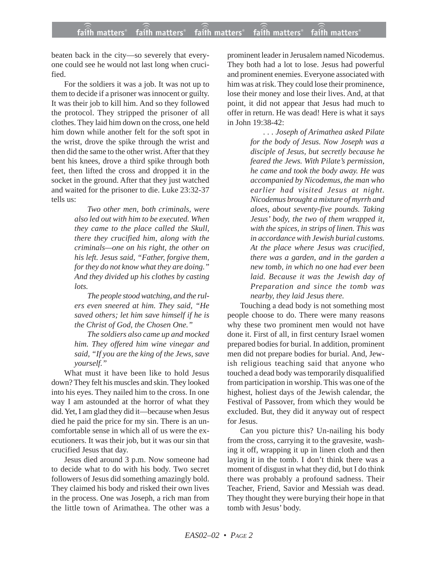beaten back in the city—so severely that everyone could see he would not last long when crucified.

For the soldiers it was a job. It was not up to them to decide if a prisoner was innocent or guilty. It was their job to kill him. And so they followed the protocol. They stripped the prisoner of all clothes. They laid him down on the cross, one held him down while another felt for the soft spot in the wrist, drove the spike through the wrist and then did the same to the other wrist. After that they bent his knees, drove a third spike through both feet, then lifted the cross and dropped it in the socket in the ground. After that they just watched and waited for the prisoner to die. Luke 23:32-37 tells us:

> *Two other men, both criminals, were also led out with him to be executed. When they came to the place called the Skull, there they crucified him, along with the criminals—one on his right, the other on his left. Jesus said, "Father, forgive them, for they do not know what they are doing." And they divided up his clothes by casting lots.*

> *The people stood watching, and the rulers even sneered at him. They said, "He saved others; let him save himself if he is the Christ of God, the Chosen One."*

> *The soldiers also came up and mocked him. They offered him wine vinegar and said, "If you are the king of the Jews, save yourself."*

What must it have been like to hold Jesus down? They felt his muscles and skin. They looked into his eyes. They nailed him to the cross. In one way I am astounded at the horror of what they did. Yet, I am glad they did it—because when Jesus died he paid the price for my sin. There is an uncomfortable sense in which all of us were the executioners. It was their job, but it was our sin that crucified Jesus that day.

Jesus died around 3 p.m. Now someone had to decide what to do with his body. Two secret followers of Jesus did something amazingly bold. They claimed his body and risked their own lives in the process. One was Joseph, a rich man from the little town of Arimathea. The other was a prominent leader in Jerusalem named Nicodemus. They both had a lot to lose. Jesus had powerful and prominent enemies. Everyone associated with him was at risk. They could lose their prominence, lose their money and lose their lives. And, at that point, it did not appear that Jesus had much to offer in return. He was dead! Here is what it says in John 19:38-42:

> *. . . Joseph of Arimathea asked Pilate for the body of Jesus. Now Joseph was a disciple of Jesus, but secretly because he feared the Jews. With Pilate's permission, he came and took the body away. He was accompanied by Nicodemus, the man who earlier had visited Jesus at night. Nicodemus brought a mixture of myrrh and aloes, about seventy-five pounds. Taking Jesus' body, the two of them wrapped it, with the spices, in strips of linen. This was in accordance with Jewish burial customs. At the place where Jesus was crucified, there was a garden, and in the garden a new tomb, in which no one had ever been laid. Because it was the Jewish day of Preparation and since the tomb was nearby, they laid Jesus there.*

Touching a dead body is not something most people choose to do. There were many reasons why these two prominent men would not have done it. First of all, in first century Israel women prepared bodies for burial. In addition, prominent men did not prepare bodies for burial. And, Jewish religious teaching said that anyone who touched a dead body was temporarily disqualified from participation in worship. This was one of the highest, holiest days of the Jewish calendar, the Festival of Passover, from which they would be excluded. But, they did it anyway out of respect for Jesus.

Can you picture this? Un-nailing his body from the cross, carrying it to the gravesite, washing it off, wrapping it up in linen cloth and then laying it in the tomb. I don't think there was a moment of disgust in what they did, but I do think there was probably a profound sadness. Their Teacher, Friend, Savior and Messiah was dead. They thought they were burying their hope in that tomb with Jesus' body.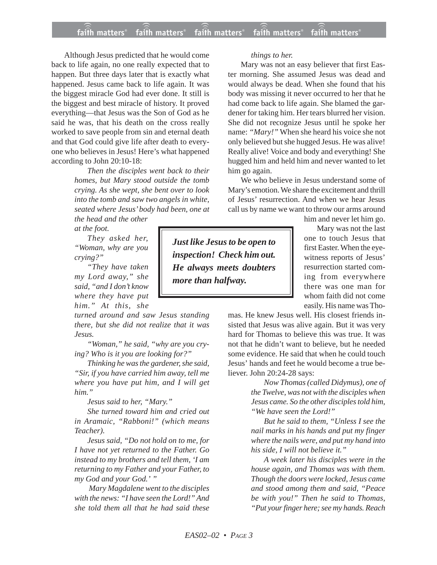## **faith matters® faith matters® faith matters® faith matters® faith matters®** ))) ))) ))) ))) )))

Although Jesus predicted that he would come back to life again, no one really expected that to happen. But three days later that is exactly what happened. Jesus came back to life again. It was the biggest miracle God had ever done. It still is the biggest and best miracle of history. It proved everything—that Jesus was the Son of God as he said he was, that his death on the cross really worked to save people from sin and eternal death and that God could give life after death to everyone who believes in Jesus! Here's what happened according to John 20:10-18:

> *Then the disciples went back to their homes, but Mary stood outside the tomb crying. As she wept, she bent over to look into the tomb and saw two angels in white, seated where Jesus' body had been, one at the head and the other*

*at the foot.*

*They asked her, "Woman, why are you crying?"*

*"They have taken my Lord away," she said, "and I don't know where they have put him." At this, she*

*turned around and saw Jesus standing there, but she did not realize that it was Jesus.*

*"Woman," he said, "why are you crying? Who is it you are looking for?"*

*Thinking he was the gardener, she said, "Sir, if you have carried him away, tell me where you have put him, and I will get him."*

*Jesus said to her, "Mary."*

*She turned toward him and cried out in Aramaic, "Rabboni!" (which means Teacher).*

*Jesus said, "Do not hold on to me, for I have not yet returned to the Father. Go instead to my brothers and tell them, 'I am returning to my Father and your Father, to my God and your God.' "*

*Mary Magdalene went to the disciples with the news: "I have seen the Lord!" And she told them all that he had said these*

*Just like Jesus to be open to inspection! Check him out. He always meets doubters more than halfway.*

*things to her.*

Mary was not an easy believer that first Easter morning. She assumed Jesus was dead and would always be dead. When she found that his body was missing it never occurred to her that he had come back to life again. She blamed the gardener for taking him. Her tears blurred her vision. She did not recognize Jesus until he spoke her name: *"Mary!"* When she heard his voice she not only believed but she hugged Jesus. He was alive! Really alive! Voice and body and everything! She hugged him and held him and never wanted to let him go again.

We who believe in Jesus understand some of Mary's emotion. We share the excitement and thrill of Jesus' resurrection. And when we hear Jesus call us by name we want to throw our arms around

him and never let him go.

Mary was not the last one to touch Jesus that first Easter. When the eyewitness reports of Jesus' resurrection started coming from everywhere there was one man for whom faith did not come easily. His name was Tho-

mas. He knew Jesus well. His closest friends insisted that Jesus was alive again. But it was very hard for Thomas to believe this was true. It was not that he didn't want to believe, but he needed some evidence. He said that when he could touch Jesus' hands and feet he would become a true believer. John 20:24-28 says:

> *Now Thomas (called Didymus), one of the Twelve, was not with the disciples when Jesus came. So the other disciples told him, "We have seen the Lord!"*

> *But he said to them, "Unless I see the nail marks in his hands and put my finger where the nails were, and put my hand into his side, I will not believe it."*

> *A week later his disciples were in the house again, and Thomas was with them. Though the doors were locked, Jesus came and stood among them and said, "Peace be with you!" Then he said to Thomas, "Put your finger here; see my hands. Reach*